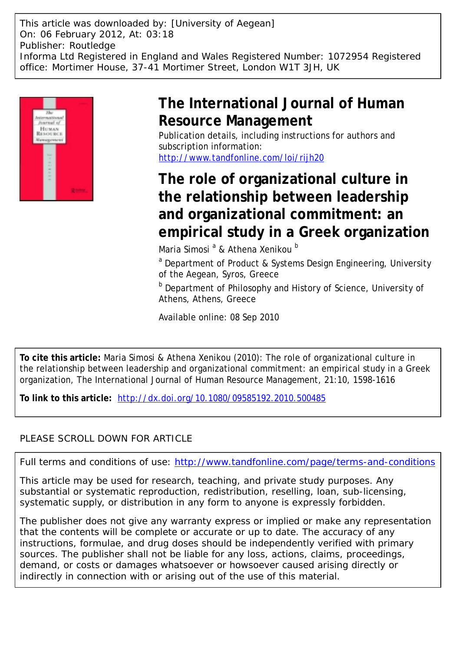This article was downloaded by: [University of Aegean] On: 06 February 2012, At: 03:18 Publisher: Routledge Informa Ltd Registered in England and Wales Registered Number: 1072954 Registered office: Mortimer House, 37-41 Mortimer Street, London W1T 3JH, UK



# **The International Journal of Human Resource Management**

Publication details, including instructions for authors and subscription information: <http://www.tandfonline.com/loi/rijh20>

# **The role of organizational culture in the relationship between leadership and organizational commitment: an empirical study in a Greek organization**

Maria Simosi <sup>a</sup> & Athena Xenikou <sup>b</sup>

<sup>a</sup> Department of Product & Systems Design Engineering, University of the Aegean, Syros, Greece

**b** Department of Philosophy and History of Science, University of Athens, Athens, Greece

Available online: 08 Sep 2010

**To cite this article:** Maria Simosi & Athena Xenikou (2010): The role of organizational culture in the relationship between leadership and organizational commitment: an empirical study in a Greek organization, The International Journal of Human Resource Management, 21:10, 1598-1616

**To link to this article:** <http://dx.doi.org/10.1080/09585192.2010.500485>

# PLEASE SCROLL DOWN FOR ARTICLE

Full terms and conditions of use:<http://www.tandfonline.com/page/terms-and-conditions>

This article may be used for research, teaching, and private study purposes. Any substantial or systematic reproduction, redistribution, reselling, loan, sub-licensing, systematic supply, or distribution in any form to anyone is expressly forbidden.

The publisher does not give any warranty express or implied or make any representation that the contents will be complete or accurate or up to date. The accuracy of any instructions, formulae, and drug doses should be independently verified with primary sources. The publisher shall not be liable for any loss, actions, claims, proceedings, demand, or costs or damages whatsoever or howsoever caused arising directly or indirectly in connection with or arising out of the use of this material.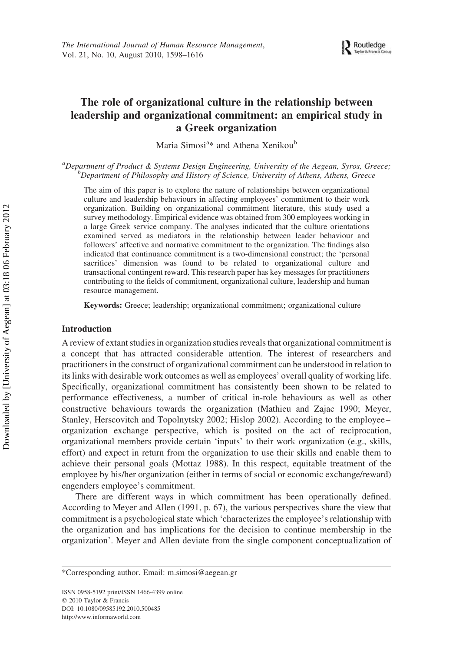## The role of organizational culture in the relationship between leadership and organizational commitment: an empirical study in a Greek organization

Maria Simosi<sup>a</sup>\* and Athena Xenikou<sup>b</sup>

<sup>a</sup>Department of Product & Systems Design Engineering, University of the Aegean, Syros, Greece;<br><sup>b</sup>Department of Philosophy and History of Science, University of Athans, Athans, Greece,  $^{b}$ Department of Philosophy and History of Science, University of Athens, Athens, Greece

The aim of this paper is to explore the nature of relationships between organizational culture and leadership behaviours in affecting employees' commitment to their work organization. Building on organizational commitment literature, this study used a survey methodology. Empirical evidence was obtained from 300 employees working in a large Greek service company. The analyses indicated that the culture orientations examined served as mediators in the relationship between leader behaviour and followers' affective and normative commitment to the organization. The findings also indicated that continuance commitment is a two-dimensional construct; the 'personal sacrifices' dimension was found to be related to organizational culture and transactional contingent reward. This research paper has key messages for practitioners contributing to the fields of commitment, organizational culture, leadership and human resource management.

Keywords: Greece; leadership; organizational commitment; organizational culture

#### Introduction

A review of extant studies in organization studies reveals that organizational commitment is a concept that has attracted considerable attention. The interest of researchers and practitioners in the construct of organizational commitment can be understood in relation to its links with desirable work outcomes as well as employees' overall quality of working life. Specifically, organizational commitment has consistently been shown to be related to performance effectiveness, a number of critical in-role behaviours as well as other constructive behaviours towards the organization (Mathieu and Zajac 1990; Meyer, Stanley, Herscovitch and Topolnytsky 2002; Hislop 2002). According to the employee– organization exchange perspective, which is posited on the act of reciprocation, organizational members provide certain 'inputs' to their work organization (e.g., skills, effort) and expect in return from the organization to use their skills and enable them to achieve their personal goals (Mottaz 1988). In this respect, equitable treatment of the employee by his/her organization (either in terms of social or economic exchange/reward) engenders employee's commitment.

There are different ways in which commitment has been operationally defined. According to Meyer and Allen (1991, p. 67), the various perspectives share the view that commitment is a psychological state which 'characterizes the employee's relationship with the organization and has implications for the decision to continue membership in the organization'. Meyer and Allen deviate from the single component conceptualization of

ISSN 0958-5192 print/ISSN 1466-4399 online  $© 2010 Taylor & Francis$ DOI: 10.1080/09585192.2010.500485 http://www.informaworld.com

<sup>\*</sup>Corresponding author. Email: m.simosi@aegean.gr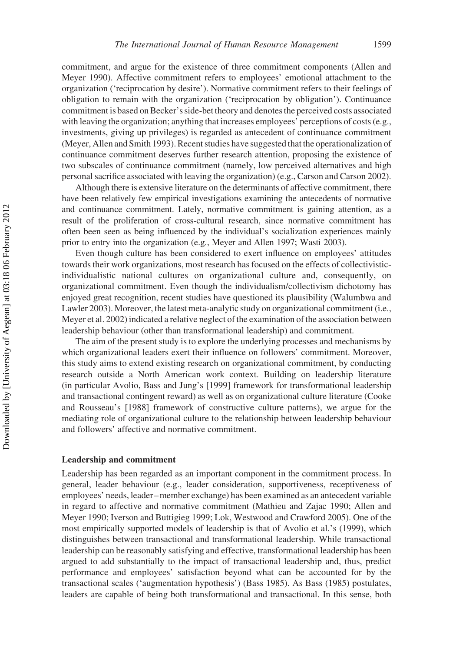commitment, and argue for the existence of three commitment components (Allen and Meyer 1990). Affective commitment refers to employees' emotional attachment to the organization ('reciprocation by desire'). Normative commitment refers to their feelings of obligation to remain with the organization ('reciprocation by obligation'). Continuance commitment is based on Becker's side-bet theory and denotes the perceived costs associated with leaving the organization; anything that increases employees' perceptions of costs (e.g., investments, giving up privileges) is regarded as antecedent of continuance commitment (Meyer, Allen and Smith 1993). Recent studies have suggested that the operationalization of continuance commitment deserves further research attention, proposing the existence of two subscales of continuance commitment (namely, low perceived alternatives and high personal sacrifice associated with leaving the organization) (e.g., Carson and Carson 2002).

Although there is extensive literature on the determinants of affective commitment, there have been relatively few empirical investigations examining the antecedents of normative and continuance commitment. Lately, normative commitment is gaining attention, as a result of the proliferation of cross-cultural research, since normative commitment has often been seen as being influenced by the individual's socialization experiences mainly prior to entry into the organization (e.g., Meyer and Allen 1997; Wasti 2003).

Even though culture has been considered to exert influence on employees' attitudes towards their work organizations, most research has focused on the effects of collectivisticindividualistic national cultures on organizational culture and, consequently, on organizational commitment. Even though the individualism/collectivism dichotomy has enjoyed great recognition, recent studies have questioned its plausibility (Walumbwa and Lawler 2003). Moreover, the latest meta-analytic study on organizational commitment (i.e., Meyer et al. 2002) indicated a relative neglect of the examination of the association between leadership behaviour (other than transformational leadership) and commitment.

The aim of the present study is to explore the underlying processes and mechanisms by which organizational leaders exert their influence on followers' commitment. Moreover, this study aims to extend existing research on organizational commitment, by conducting research outside a North American work context. Building on leadership literature (in particular Avolio, Bass and Jung's [1999] framework for transformational leadership and transactional contingent reward) as well as on organizational culture literature (Cooke and Rousseau's [1988] framework of constructive culture patterns), we argue for the mediating role of organizational culture to the relationship between leadership behaviour and followers' affective and normative commitment.

### Leadership and commitment

Leadership has been regarded as an important component in the commitment process. In general, leader behaviour (e.g., leader consideration, supportiveness, receptiveness of employees' needs, leader–member exchange) has been examined as an antecedent variable in regard to affective and normative commitment (Mathieu and Zajac 1990; Allen and Meyer 1990; Iverson and Buttigieg 1999; Lok, Westwood and Crawford 2005). One of the most empirically supported models of leadership is that of Avolio et al.'s (1999), which distinguishes between transactional and transformational leadership. While transactional leadership can be reasonably satisfying and effective, transformational leadership has been argued to add substantially to the impact of transactional leadership and, thus, predict performance and employees' satisfaction beyond what can be accounted for by the transactional scales ('augmentation hypothesis') (Bass 1985). As Bass (1985) postulates, leaders are capable of being both transformational and transactional. In this sense, both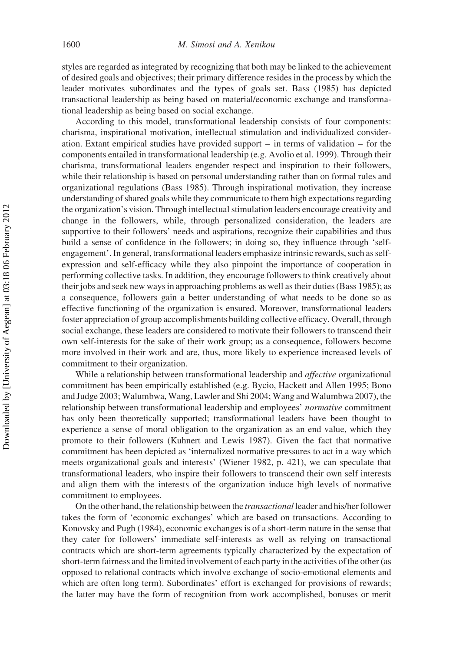styles are regarded as integrated by recognizing that both may be linked to the achievement of desired goals and objectives; their primary difference resides in the process by which the leader motivates subordinates and the types of goals set. Bass (1985) has depicted transactional leadership as being based on material/economic exchange and transformational leadership as being based on social exchange.

According to this model, transformational leadership consists of four components: charisma, inspirational motivation, intellectual stimulation and individualized consideration. Extant empirical studies have provided support  $-$  in terms of validation  $-$  for the components entailed in transformational leadership (e.g. Avolio et al. 1999). Through their charisma, transformational leaders engender respect and inspiration to their followers, while their relationship is based on personal understanding rather than on formal rules and organizational regulations (Bass 1985). Through inspirational motivation, they increase understanding of shared goals while they communicate to them high expectations regarding the organization's vision. Through intellectual stimulation leaders encourage creativity and change in the followers, while, through personalized consideration, the leaders are supportive to their followers' needs and aspirations, recognize their capabilities and thus build a sense of confidence in the followers; in doing so, they influence through 'selfengagement'. In general, transformational leaders emphasize intrinsic rewards, such as selfexpression and self-efficacy while they also pinpoint the importance of cooperation in performing collective tasks. In addition, they encourage followers to think creatively about their jobs and seek new ways in approaching problems as well as their duties (Bass 1985); as a consequence, followers gain a better understanding of what needs to be done so as effective functioning of the organization is ensured. Moreover, transformational leaders foster appreciation of group accomplishments building collective efficacy. Overall, through social exchange, these leaders are considered to motivate their followers to transcend their own self-interests for the sake of their work group; as a consequence, followers become more involved in their work and are, thus, more likely to experience increased levels of commitment to their organization.

While a relationship between transformational leadership and *affective* organizational commitment has been empirically established (e.g. Bycio, Hackett and Allen 1995; Bono and Judge 2003; Walumbwa, Wang, Lawler and Shi 2004; Wang and Walumbwa 2007), the relationship between transformational leadership and employees' normative commitment has only been theoretically supported; transformational leaders have been thought to experience a sense of moral obligation to the organization as an end value, which they promote to their followers (Kuhnert and Lewis 1987). Given the fact that normative commitment has been depicted as 'internalized normative pressures to act in a way which meets organizational goals and interests' (Wiener 1982, p. 421), we can speculate that transformational leaders, who inspire their followers to transcend their own self interests and align them with the interests of the organization induce high levels of normative commitment to employees.

On the other hand, the relationship between the transactional leader and his/her follower takes the form of 'economic exchanges' which are based on transactions. According to Konovsky and Pugh (1984), economic exchanges is of a short-term nature in the sense that they cater for followers' immediate self-interests as well as relying on transactional contracts which are short-term agreements typically characterized by the expectation of short-term fairness and the limited involvement of each party in the activities of the other (as opposed to relational contracts which involve exchange of socio-emotional elements and which are often long term). Subordinates' effort is exchanged for provisions of rewards; the latter may have the form of recognition from work accomplished, bonuses or merit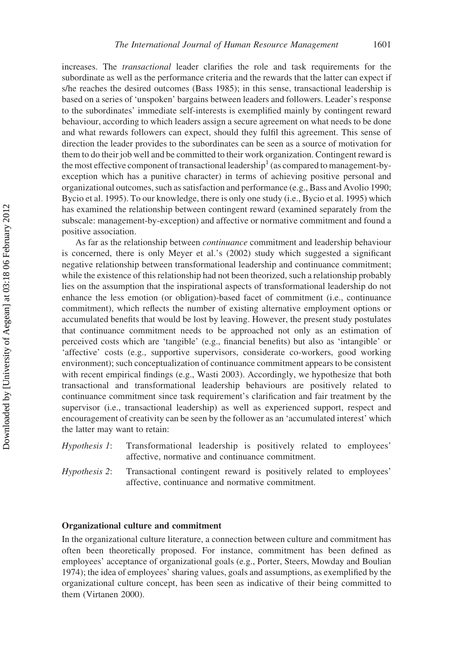increases. The transactional leader clarifies the role and task requirements for the subordinate as well as the performance criteria and the rewards that the latter can expect if s/he reaches the desired outcomes (Bass 1985); in this sense, transactional leadership is based on a series of 'unspoken' bargains between leaders and followers. Leader's response to the subordinates' immediate self-interests is exemplified mainly by contingent reward behaviour, according to which leaders assign a secure agreement on what needs to be done and what rewards followers can expect, should they fulfil this agreement. This sense of direction the leader provides to the subordinates can be seen as a source of motivation for them to do their job well and be committed to their work organization. Contingent reward is the most effective component of transactional leadership<sup>1</sup> (as compared to management-byexception which has a punitive character) in terms of achieving positive personal and organizational outcomes, such as satisfaction and performance (e.g., Bass and Avolio 1990; Bycio et al. 1995). To our knowledge, there is only one study (i.e., Bycio et al. 1995) which has examined the relationship between contingent reward (examined separately from the subscale: management-by-exception) and affective or normative commitment and found a positive association.

As far as the relationship between continuance commitment and leadership behaviour is concerned, there is only Meyer et al.'s (2002) study which suggested a significant negative relationship between transformational leadership and continuance commitment; while the existence of this relationship had not been theorized, such a relationship probably lies on the assumption that the inspirational aspects of transformational leadership do not enhance the less emotion (or obligation)-based facet of commitment (i.e., continuance commitment), which reflects the number of existing alternative employment options or accumulated benefits that would be lost by leaving. However, the present study postulates that continuance commitment needs to be approached not only as an estimation of perceived costs which are 'tangible' (e.g., financial benefits) but also as 'intangible' or 'affective' costs (e.g., supportive supervisors, considerate co-workers, good working environment); such conceptualization of continuance commitment appears to be consistent with recent empirical findings (e.g., Wasti 2003). Accordingly, we hypothesize that both transactional and transformational leadership behaviours are positively related to continuance commitment since task requirement's clarification and fair treatment by the supervisor (i.e., transactional leadership) as well as experienced support, respect and encouragement of creativity can be seen by the follower as an 'accumulated interest' which the latter may want to retain:

Hypothesis 1: Transformational leadership is positively related to employees' affective, normative and continuance commitment.

Hypothesis 2: Transactional contingent reward is positively related to employees' affective, continuance and normative commitment.

#### Organizational culture and commitment

In the organizational culture literature, a connection between culture and commitment has often been theoretically proposed. For instance, commitment has been defined as employees' acceptance of organizational goals (e.g., Porter, Steers, Mowday and Boulian 1974); the idea of employees' sharing values, goals and assumptions, as exemplified by the organizational culture concept, has been seen as indicative of their being committed to them (Virtanen 2000).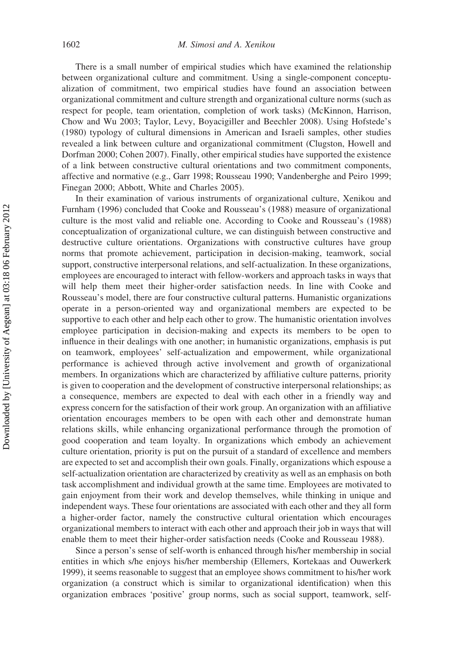There is a small number of empirical studies which have examined the relationship between organizational culture and commitment. Using a single-component conceptualization of commitment, two empirical studies have found an association between organizational commitment and culture strength and organizational culture norms (such as respect for people, team orientation, completion of work tasks) (McKinnon, Harrison, Chow and Wu 2003; Taylor, Levy, Boyacigiller and Beechler 2008). Using Hofstede's (1980) typology of cultural dimensions in American and Israeli samples, other studies revealed a link between culture and organizational commitment (Clugston, Howell and Dorfman 2000; Cohen 2007). Finally, other empirical studies have supported the existence of a link between constructive cultural orientations and two commitment components, affective and normative (e.g., Garr 1998; Rousseau 1990; Vandenberghe and Peiro 1999; Finegan 2000; Abbott, White and Charles 2005).

In their examination of various instruments of organizational culture, Xenikou and Furnham (1996) concluded that Cooke and Rousseau's (1988) measure of organizational culture is the most valid and reliable one. According to Cooke and Rousseau's (1988) conceptualization of organizational culture, we can distinguish between constructive and destructive culture orientations. Organizations with constructive cultures have group norms that promote achievement, participation in decision-making, teamwork, social support, constructive interpersonal relations, and self-actualization. In these organizations, employees are encouraged to interact with fellow-workers and approach tasks in ways that will help them meet their higher-order satisfaction needs. In line with Cooke and Rousseau's model, there are four constructive cultural patterns. Humanistic organizations operate in a person-oriented way and organizational members are expected to be supportive to each other and help each other to grow. The humanistic orientation involves employee participation in decision-making and expects its members to be open to influence in their dealings with one another; in humanistic organizations, emphasis is put on teamwork, employees' self-actualization and empowerment, while organizational performance is achieved through active involvement and growth of organizational members. In organizations which are characterized by affiliative culture patterns, priority is given to cooperation and the development of constructive interpersonal relationships; as a consequence, members are expected to deal with each other in a friendly way and express concern for the satisfaction of their work group. An organization with an affiliative orientation encourages members to be open with each other and demonstrate human relations skills, while enhancing organizational performance through the promotion of good cooperation and team loyalty. In organizations which embody an achievement culture orientation, priority is put on the pursuit of a standard of excellence and members are expected to set and accomplish their own goals. Finally, organizations which espouse a self-actualization orientation are characterized by creativity as well as an emphasis on both task accomplishment and individual growth at the same time. Employees are motivated to gain enjoyment from their work and develop themselves, while thinking in unique and independent ways. These four orientations are associated with each other and they all form a higher-order factor, namely the constructive cultural orientation which encourages organizational members to interact with each other and approach their job in ways that will enable them to meet their higher-order satisfaction needs (Cooke and Rousseau 1988).

Since a person's sense of self-worth is enhanced through his/her membership in social entities in which s/he enjoys his/her membership (Ellemers, Kortekaas and Ouwerkerk 1999), it seems reasonable to suggest that an employee shows commitment to his/her work organization (a construct which is similar to organizational identification) when this organization embraces 'positive' group norms, such as social support, teamwork, self-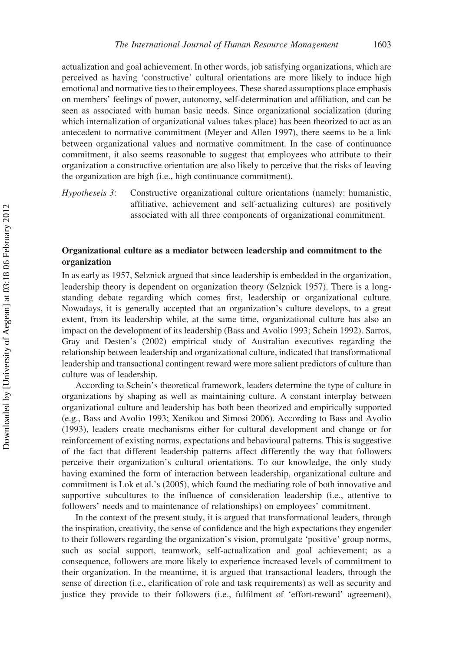actualization and goal achievement. In other words, job satisfying organizations, which are perceived as having 'constructive' cultural orientations are more likely to induce high emotional and normative ties to their employees. These shared assumptions place emphasis on members' feelings of power, autonomy, self-determination and affiliation, and can be seen as associated with human basic needs. Since organizational socialization (during which internalization of organizational values takes place) has been theorized to act as an antecedent to normative commitment (Meyer and Allen 1997), there seems to be a link between organizational values and normative commitment. In the case of continuance commitment, it also seems reasonable to suggest that employees who attribute to their organization a constructive orientation are also likely to perceive that the risks of leaving the organization are high (i.e., high continuance commitment).

Hypotheseis 3: Constructive organizational culture orientations (namely: humanistic, affiliative, achievement and self-actualizing cultures) are positively associated with all three components of organizational commitment.

## Organizational culture as a mediator between leadership and commitment to the organization

In as early as 1957, Selznick argued that since leadership is embedded in the organization, leadership theory is dependent on organization theory (Selznick 1957). There is a longstanding debate regarding which comes first, leadership or organizational culture. Nowadays, it is generally accepted that an organization's culture develops, to a great extent, from its leadership while, at the same time, organizational culture has also an impact on the development of its leadership (Bass and Avolio 1993; Schein 1992). Sarros, Gray and Desten's (2002) empirical study of Australian executives regarding the relationship between leadership and organizational culture, indicated that transformational leadership and transactional contingent reward were more salient predictors of culture than culture was of leadership.

According to Schein's theoretical framework, leaders determine the type of culture in organizations by shaping as well as maintaining culture. A constant interplay between organizational culture and leadership has both been theorized and empirically supported (e.g., Bass and Avolio 1993; Xenikou and Simosi 2006). According to Bass and Avolio (1993), leaders create mechanisms either for cultural development and change or for reinforcement of existing norms, expectations and behavioural patterns. This is suggestive of the fact that different leadership patterns affect differently the way that followers perceive their organization's cultural orientations. To our knowledge, the only study having examined the form of interaction between leadership, organizational culture and commitment is Lok et al.'s (2005), which found the mediating role of both innovative and supportive subcultures to the influence of consideration leadership (i.e., attentive to followers' needs and to maintenance of relationships) on employees' commitment.

In the context of the present study, it is argued that transformational leaders, through the inspiration, creativity, the sense of confidence and the high expectations they engender to their followers regarding the organization's vision, promulgate 'positive' group norms, such as social support, teamwork, self-actualization and goal achievement; as a consequence, followers are more likely to experience increased levels of commitment to their organization. In the meantime, it is argued that transactional leaders, through the sense of direction (i.e., clarification of role and task requirements) as well as security and justice they provide to their followers (i.e., fulfilment of 'effort-reward' agreement),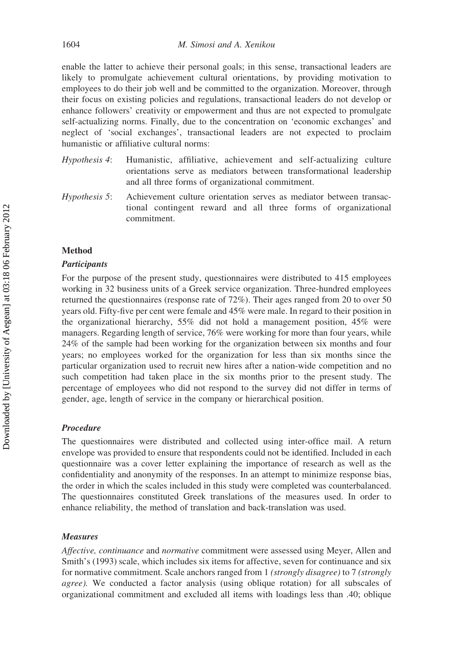enable the latter to achieve their personal goals; in this sense, transactional leaders are likely to promulgate achievement cultural orientations, by providing motivation to employees to do their job well and be committed to the organization. Moreover, through their focus on existing policies and regulations, transactional leaders do not develop or enhance followers' creativity or empowerment and thus are not expected to promulgate self-actualizing norms. Finally, due to the concentration on 'economic exchanges' and neglect of 'social exchanges', transactional leaders are not expected to proclaim humanistic or affiliative cultural norms:

- Hypothesis 4: Humanistic, affiliative, achievement and self-actualizing culture orientations serve as mediators between transformational leadership and all three forms of organizational commitment.
- Hypothesis 5: Achievement culture orientation serves as mediator between transactional contingent reward and all three forms of organizational commitment.

### Method

#### **Participants**

For the purpose of the present study, questionnaires were distributed to 415 employees working in 32 business units of a Greek service organization. Three-hundred employees returned the questionnaires (response rate of 72%). Their ages ranged from 20 to over 50 years old. Fifty-five per cent were female and 45% were male. In regard to their position in the organizational hierarchy, 55% did not hold a management position, 45% were managers. Regarding length of service, 76% were working for more than four years, while 24% of the sample had been working for the organization between six months and four years; no employees worked for the organization for less than six months since the particular organization used to recruit new hires after a nation-wide competition and no such competition had taken place in the six months prior to the present study. The percentage of employees who did not respond to the survey did not differ in terms of gender, age, length of service in the company or hierarchical position.

#### Procedure

The questionnaires were distributed and collected using inter-office mail. A return envelope was provided to ensure that respondents could not be identified. Included in each questionnaire was a cover letter explaining the importance of research as well as the confidentiality and anonymity of the responses. In an attempt to minimize response bias, the order in which the scales included in this study were completed was counterbalanced. The questionnaires constituted Greek translations of the measures used. In order to enhance reliability, the method of translation and back-translation was used.

#### Measures

Affective, continuance and normative commitment were assessed using Meyer, Allen and Smith's (1993) scale, which includes six items for affective, seven for continuance and six for normative commitment. Scale anchors ranged from 1 (strongly disagree) to 7 (strongly agree). We conducted a factor analysis (using oblique rotation) for all subscales of organizational commitment and excluded all items with loadings less than .40; oblique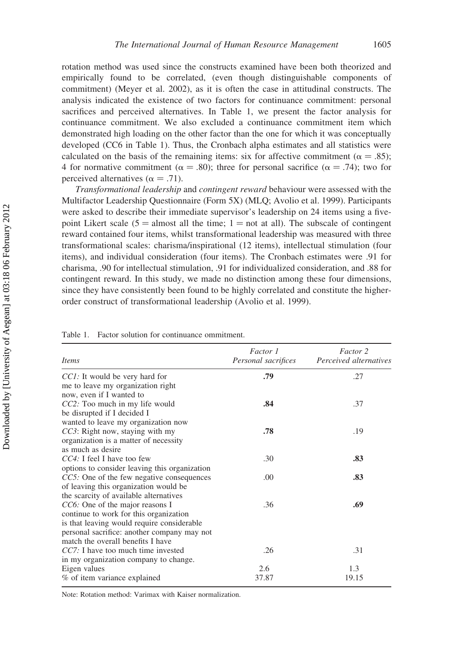rotation method was used since the constructs examined have been both theorized and empirically found to be correlated, (even though distinguishable components of commitment) (Meyer et al. 2002), as it is often the case in attitudinal constructs. The analysis indicated the existence of two factors for continuance commitment: personal sacrifices and perceived alternatives. In Table 1, we present the factor analysis for continuance commitment. We also excluded a continuance commitment item which demonstrated high loading on the other factor than the one for which it was conceptually developed (CC6 in Table 1). Thus, the Cronbach alpha estimates and all statistics were calculated on the basis of the remaining items: six for affective commitment ( $\alpha = .85$ ); 4 for normative commitment ( $\alpha = .80$ ); three for personal sacrifice ( $\alpha = .74$ ); two for perceived alternatives ( $\alpha = .71$ ).

Transformational leadership and contingent reward behaviour were assessed with the Multifactor Leadership Questionnaire (Form 5X) (MLQ; Avolio et al. 1999). Participants were asked to describe their immediate supervisor's leadership on 24 items using a fivepoint Likert scale (5 = almost all the time;  $1 = not$  at all). The subscale of contingent reward contained four items, whilst transformational leadership was measured with three transformational scales: charisma/inspirational (12 items), intellectual stimulation (four items), and individual consideration (four items). The Cronbach estimates were .91 for charisma, .90 for intellectual stimulation, .91 for individualized consideration, and .88 for contingent reward. In this study, we made no distinction among these four dimensions, since they have consistently been found to be highly correlated and constitute the higherorder construct of transformational leadership (Avolio et al. 1999).

|  | Table 1. Factor solution for continuance ommitment. |
|--|-----------------------------------------------------|
|  |                                                     |

| Factor 1<br>Personal sacrifices | Factor 2<br>Perceived alternatives |
|---------------------------------|------------------------------------|
| .79                             | .27                                |
|                                 |                                    |
|                                 |                                    |
| .84                             | .37                                |
|                                 |                                    |
|                                 |                                    |
| .78                             | .19                                |
|                                 |                                    |
|                                 |                                    |
| .30                             | .83                                |
|                                 |                                    |
| .00                             | .83                                |
|                                 |                                    |
|                                 |                                    |
| .36                             | .69                                |
|                                 |                                    |
|                                 |                                    |
|                                 |                                    |
|                                 |                                    |
| .26                             | .31                                |
|                                 |                                    |
| 2.6                             | 1.3                                |
| 37.87                           | 19.15                              |
|                                 |                                    |

Note: Rotation method: Varimax with Kaiser normalization.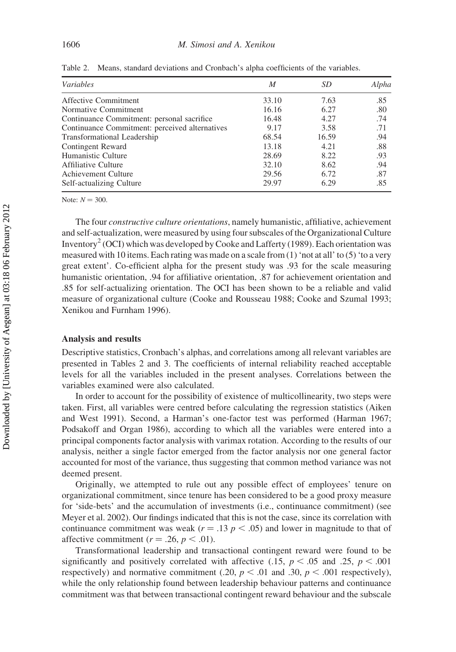| Variables                                      | M     | <i>SD</i> | Alpha |
|------------------------------------------------|-------|-----------|-------|
| Affective Commitment                           | 33.10 | 7.63      | .85   |
| Normative Commitment                           | 16.16 | 6.27      | .80   |
| Continuance Commitment: personal sacrifice     | 16.48 | 4.27      | .74   |
| Continuance Commitment: perceived alternatives | 9.17  | 3.58      | .71   |
| Transformational Leadership                    | 68.54 | 16.59     | .94   |
| Contingent Reward                              | 13.18 | 4.21      | .88   |
| Humanistic Culture                             | 28.69 | 8.22      | .93   |
| <b>Affiliative Culture</b>                     | 32.10 | 8.62      | .94   |
| Achievement Culture                            | 29.56 | 6.72      | .87   |
| Self-actualizing Culture                       | 29.97 | 6.29      | .85   |

Table 2. Means, standard deviations and Cronbach's alpha coefficients of the variables.

Note:  $N = 300$ .

The four constructive culture orientations, namely humanistic, affiliative, achievement and self-actualization, were measured by using four subscales of the Organizational Culture Inventory<sup>2</sup> (OCI) which was developed by Cooke and Lafferty (1989). Each orientation was measured with 10 items. Each rating was made on a scale from  $(1)$  'not at all' to  $(5)$  'to a very great extent'. Co-efficient alpha for the present study was .93 for the scale measuring humanistic orientation, .94 for affiliative orientation, .87 for achievement orientation and .85 for self-actualizing orientation. The OCI has been shown to be a reliable and valid measure of organizational culture (Cooke and Rousseau 1988; Cooke and Szumal 1993; Xenikou and Furnham 1996).

#### Analysis and results

Descriptive statistics, Cronbach's alphas, and correlations among all relevant variables are presented in Tables 2 and 3. The coefficients of internal reliability reached acceptable levels for all the variables included in the present analyses. Correlations between the variables examined were also calculated.

In order to account for the possibility of existence of multicollinearity, two steps were taken. First, all variables were centred before calculating the regression statistics (Aiken and West 1991). Second, a Harman's one-factor test was performed (Harman 1967; Podsakoff and Organ 1986), according to which all the variables were entered into a principal components factor analysis with varimax rotation. According to the results of our analysis, neither a single factor emerged from the factor analysis nor one general factor accounted for most of the variance, thus suggesting that common method variance was not deemed present.

Originally, we attempted to rule out any possible effect of employees' tenure on organizational commitment, since tenure has been considered to be a good proxy measure for 'side-bets' and the accumulation of investments (i.e., continuance commitment) (see Meyer et al. 2002). Our findings indicated that this is not the case, since its correlation with continuance commitment was weak ( $r = .13$   $p < .05$ ) and lower in magnitude to that of affective commitment ( $r = .26$ ,  $p < .01$ ).

Transformational leadership and transactional contingent reward were found to be significantly and positively correlated with affective (.15,  $p < .05$  and .25,  $p < .001$ ) respectively) and normative commitment (.20,  $p < .01$  and .30,  $p < .001$  respectively), while the only relationship found between leadership behaviour patterns and continuance commitment was that between transactional contingent reward behaviour and the subscale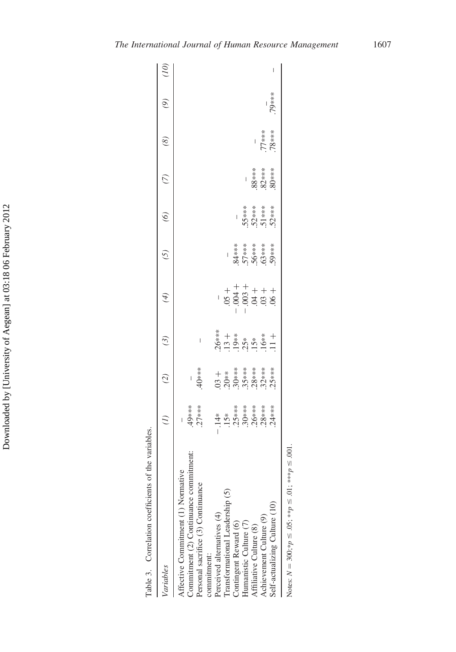| Variables                                                |          | $\widetilde{c}$                                   | (3)                                                 | $\left( 4\right)$                                                                                                                                                                                                                                                                                                                                                         | (5)                               | $\odot$                         | $\tilde{C}$              | $\binom{8}{5}$   | $\widetilde{\Theta}$ | $\sum$ |
|----------------------------------------------------------|----------|---------------------------------------------------|-----------------------------------------------------|---------------------------------------------------------------------------------------------------------------------------------------------------------------------------------------------------------------------------------------------------------------------------------------------------------------------------------------------------------------------------|-----------------------------------|---------------------------------|--------------------------|------------------|----------------------|--------|
| Ğ,<br>Affective Commitment (1) Normativ                  |          |                                                   |                                                     |                                                                                                                                                                                                                                                                                                                                                                           |                                   |                                 |                          |                  |                      |        |
| utmeni<br>Commitment (2) Continuance comm                |          |                                                   |                                                     |                                                                                                                                                                                                                                                                                                                                                                           |                                   |                                 |                          |                  |                      |        |
| Personal sacrifice (3) Continuance                       | $-49***$ | -<br>40***                                        | $\overline{\phantom{a}}$                            |                                                                                                                                                                                                                                                                                                                                                                           |                                   |                                 |                          |                  |                      |        |
| commitment:                                              |          |                                                   |                                                     |                                                                                                                                                                                                                                                                                                                                                                           |                                   |                                 |                          |                  |                      |        |
| Perceived alternatives (4)                               |          |                                                   |                                                     |                                                                                                                                                                                                                                                                                                                                                                           |                                   |                                 |                          |                  |                      |        |
| Transformational Leadership (5)                          |          | +<br>20*********<br>30*********<br>328*****<br>25 | $26***$<br>$35***$<br>$35***$<br>$35***$<br>$10***$ | $+ + +$<br>$+ +$<br>$+ +$<br>$+ +$<br>$+ +$<br>$+ +$<br>$+ +$<br>$+ +$<br>$+ +$<br>$+ +$<br>$+ +$<br>$+ +$<br>$+ +$<br>$+ +$<br>$+ +$<br>$+ +$<br>$+ +$<br>$+ +$<br>$+ +$<br>$+ +$<br>$- +$<br>$- +$<br>$- +$<br>$- +$<br>$- +$<br>$- +$<br>$- +$<br>$- +$<br>$- +$<br>$- +$<br>$- +$<br>$- +$<br>$- +$<br><br>$- +$<br><br>$- +$<br><br><br><br><br><br><br><br><br><br> |                                   |                                 |                          |                  |                      |        |
| Contingent Reward (6)                                    |          |                                                   |                                                     |                                                                                                                                                                                                                                                                                                                                                                           |                                   |                                 |                          |                  |                      |        |
| Humanistic Culture (7)                                   |          |                                                   |                                                     |                                                                                                                                                                                                                                                                                                                                                                           |                                   |                                 |                          |                  |                      |        |
| Affiliative Culture (8)                                  |          |                                                   |                                                     |                                                                                                                                                                                                                                                                                                                                                                           |                                   |                                 |                          |                  |                      |        |
| Achievement Culture (9)                                  |          |                                                   |                                                     |                                                                                                                                                                                                                                                                                                                                                                           | *********<br>*********<br>8000000 | - ****<br>552****<br>525<br>525 | ****<br>****88<br>82**** | ****8L<br>****LL |                      |        |
| Self-actualizing Culture (10)                            |          |                                                   |                                                     |                                                                                                                                                                                                                                                                                                                                                                           |                                   |                                 |                          |                  | 79∗∗∗                |        |
| Notes: $N = 300; *p \le .05; * p \le .01; * * p \le .00$ |          |                                                   |                                                     |                                                                                                                                                                                                                                                                                                                                                                           |                                   |                                 |                          |                  |                      |        |

Table 3. Correlation coefficients of the variables.

Table 3.

Correlation coefficients of the variables.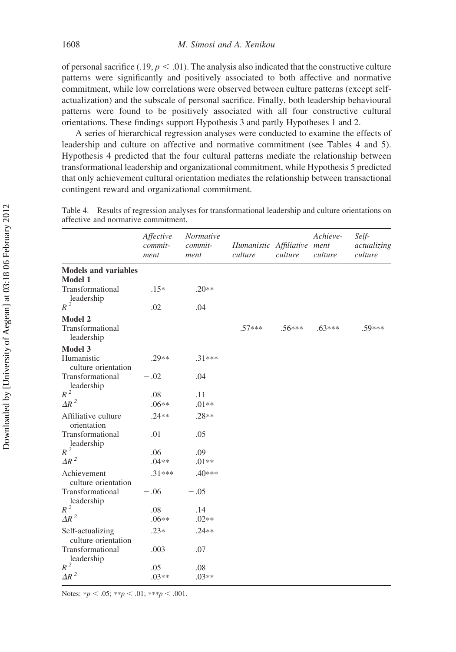of personal sacrifice (.19,  $p < .01$ ). The analysis also indicated that the constructive culture patterns were significantly and positively associated to both affective and normative commitment, while low correlations were observed between culture patterns (except selfactualization) and the subscale of personal sacrifice. Finally, both leadership behavioural patterns were found to be positively associated with all four constructive cultural orientations. These findings support Hypothesis 3 and partly Hypotheses 1 and 2.

A series of hierarchical regression analyses were conducted to examine the effects of leadership and culture on affective and normative commitment (see Tables 4 and 5). Hypothesis 4 predicted that the four cultural patterns mediate the relationship between transformational leadership and organizational commitment, while Hypothesis 5 predicted that only achievement cultural orientation mediates the relationship between transactional contingent reward and organizational commitment.

|                                                  | Affective<br>commit-<br>ment | Normative<br>commit-<br>ment | Humanistic Affiliative ment<br>culture | culture  | Achieve-<br>culture | Self-<br>actualizing<br>culture |
|--------------------------------------------------|------------------------------|------------------------------|----------------------------------------|----------|---------------------|---------------------------------|
| <b>Models and variables</b><br><b>Model 1</b>    |                              |                              |                                        |          |                     |                                 |
| Transformational<br>leadership                   | $.15*$                       | $.20**$                      |                                        |          |                     |                                 |
| $R^2$                                            | .02                          | .04                          |                                        |          |                     |                                 |
| <b>Model 2</b><br>Transformational<br>leadership |                              |                              | $.57***$                               | $.56***$ | $.63***$            | $59***$                         |
| <b>Model 3</b>                                   |                              |                              |                                        |          |                     |                                 |
| Humanistic<br>culture orientation                | $.29**$                      | $.31***$                     |                                        |          |                     |                                 |
| Transformational<br>leadership                   | $-.02$                       | .04                          |                                        |          |                     |                                 |
| $R^2$                                            | .08                          | .11                          |                                        |          |                     |                                 |
| $\Delta R^2$                                     | $.06**$                      | $.01**$                      |                                        |          |                     |                                 |
| Affiliative culture<br>orientation               | $.24**$                      | $.28**$                      |                                        |          |                     |                                 |
| Transformational<br>leadership                   | .01                          | .05                          |                                        |          |                     |                                 |
| $R^2$                                            | .06                          | .09                          |                                        |          |                     |                                 |
| $\Delta R^2$                                     | $.04**$                      | $.01**$                      |                                        |          |                     |                                 |
| Achievement<br>culture orientation               | $.31***$                     | $.40***$                     |                                        |          |                     |                                 |
| Transformational<br>leadership                   | $-.06$                       | $-.05$                       |                                        |          |                     |                                 |
| $R^2$                                            | .08                          | .14                          |                                        |          |                     |                                 |
| $\Delta R^2$                                     | $.06**$                      | $.02**$                      |                                        |          |                     |                                 |
| Self-actualizing<br>culture orientation          | $.23*$                       | $.24**$                      |                                        |          |                     |                                 |
| Transformational<br>leadership                   | .003                         | .07                          |                                        |          |                     |                                 |
| $R^2$                                            | .05                          | .08                          |                                        |          |                     |                                 |
| $\Delta R^2$                                     | $.03**$                      | $.03**$                      |                                        |          |                     |                                 |

Table 4. Results of regression analyses for transformational leadership and culture orientations on affective and normative commitment.

Notes: \*p < .05; \*\*p < .01; \*\*\*p < .001.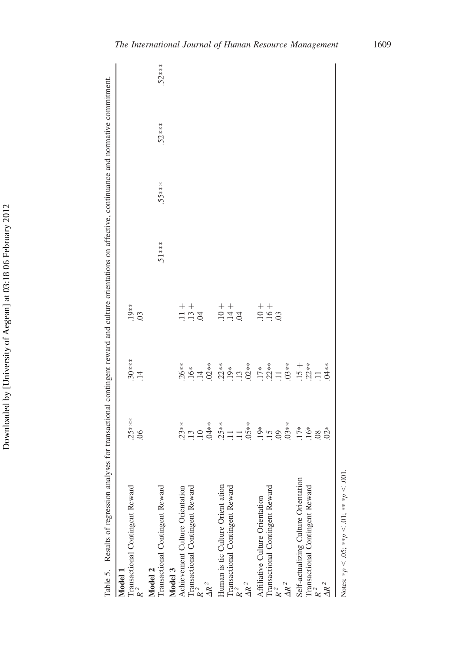$.52***$ Transactional Contingent Reward .51\*\*\* .55\*\*\* .52\*\*\* .52\*\*\* Results of regression analyses for transactional contingent reward and culture orientations on affective, continuance and normative commitment. Table 5. Results of regression analyses for transactional contingent reward and culture orientations on affective, continuance and normative commitment.  $.52***$ .55\*\*\*  $.51***$  $.19**$  $\frac{+}{-}$ Transactional Contingent Reward 25\*\*\*\* .25\*\* .25\*\* .25\*\*  $+$  $++$  $++$  $R^2$  ...  $R^2$  $\frac{1}{22}$  is ticket at  $\frac{25*}{22}$ . The Culture Orient ation . The state of  $\frac{25*}{22}$  . The state of  $\frac{25*}{22}$  . The state of  $\frac{25*}{22}$  is the  $\frac{25*}{22}$  .  $\frac{1}{1}$ . Transactional Continuous Reward Reward Continuous . The set of  $\frac{1}{1}$ .  $R^2$  .13 .13 .13  $\frac{1}{2}$  .17  $\frac{1}{2}$  .17  $\frac{1}{2}$  .11  $\frac{1}{2}$  .11  $\frac{1}{2}$  .11  $\frac{1}{2}$  .11  $\frac{1}{2}$  .11 International Contingent Reward .15 .22\*\* .22\*\* .16  $R^2$  .06 .06 .04 .14 Achievement Culture Orientation .23\*\* .26\*\* .26\*\* Transactional Contingent Reward .13 .13 .14 .16\*  $R^2$  .09 .09  $.30***$ <br> $.14$  $.17**$ <br> $.22**$  $03**$  $26**$  $16*$ <br> $14 *$ <br> $2* *$ <br> $2* *$ <br> $19*$ <br> $13*$  $AR^2$  .02\*\*  $AR^2$  .05\*\* .02\*\*  $\Delta R^2$  .03\*\* .03\*\*  $^+$ Transactional Contingent Reward .16\* ... 22\*\*  $AR^2$  .02\* .04\*\* Self-actualizing Culture Orientation .17\* .15  $R^2$  .11  $.25***$  $\frac{13}{10}$  $.25**$ <br>  $.11$ <br>  $.15***$ <br>  $.05**$  $.03**$  $23**$  $\stackrel{*}{\cong} \stackrel{\sim}{\cong} 9$  $17*$  $rac{6}{10}$   $\frac{8}{10}$   $\frac{3}{10}$ Self-actualizing Culture Orientation Human is tic Culture Orient ation Transactional Contingent Reward  $R^2$ Transactional Contingent Reward Transactional Contingent Reward Transactional Contingent Reward Achievement Culture Orientation Transactional Contingent Reward  $R^2$ Transactional Contingent Reward Affiliative Culture Orientation Model 3 Table 5. Model 2 Model 1  $\frac{d}{dR}$ <sup>2</sup>  $\mathbf{A}^2$  $\overline{4}R^2$  $\frac{1}{4}R^2$  $R^2$  $R^2$  $R^2$ 

Notes: \* $p < .05$ ; \*\* $p < .01$ ; \*\* \* $p < .001$ .  $Notes: *p < .05; **p < .01; **p < .011$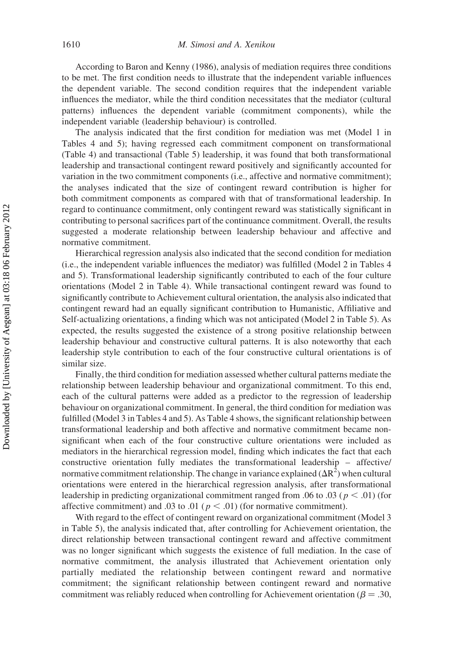According to Baron and Kenny (1986), analysis of mediation requires three conditions to be met. The first condition needs to illustrate that the independent variable influences the dependent variable. The second condition requires that the independent variable influences the mediator, while the third condition necessitates that the mediator (cultural patterns) influences the dependent variable (commitment components), while the independent variable (leadership behaviour) is controlled.

The analysis indicated that the first condition for mediation was met (Model 1 in Tables 4 and 5); having regressed each commitment component on transformational (Table 4) and transactional (Table 5) leadership, it was found that both transformational leadership and transactional contingent reward positively and significantly accounted for variation in the two commitment components (i.e., affective and normative commitment); the analyses indicated that the size of contingent reward contribution is higher for both commitment components as compared with that of transformational leadership. In regard to continuance commitment, only contingent reward was statistically significant in contributing to personal sacrifices part of the continuance commitment. Overall, the results suggested a moderate relationship between leadership behaviour and affective and normative commitment.

Hierarchical regression analysis also indicated that the second condition for mediation (i.e., the independent variable influences the mediator) was fulfilled (Model 2 in Tables 4 and 5). Transformational leadership significantly contributed to each of the four culture orientations (Model 2 in Table 4). While transactional contingent reward was found to significantly contribute to Achievement cultural orientation, the analysis also indicated that contingent reward had an equally significant contribution to Humanistic, Affiliative and Self-actualizing orientations, a finding which was not anticipated (Model 2 in Table 5). As expected, the results suggested the existence of a strong positive relationship between leadership behaviour and constructive cultural patterns. It is also noteworthy that each leadership style contribution to each of the four constructive cultural orientations is of similar size.

Finally, the third condition for mediation assessed whether cultural patterns mediate the relationship between leadership behaviour and organizational commitment. To this end, each of the cultural patterns were added as a predictor to the regression of leadership behaviour on organizational commitment. In general, the third condition for mediation was fulfilled (Model 3 in Tables 4 and 5). As Table 4 shows, the significant relationship between transformational leadership and both affective and normative commitment became nonsignificant when each of the four constructive culture orientations were included as mediators in the hierarchical regression model, finding which indicates the fact that each constructive orientation fully mediates the transformational leadership – affective/ normative commitment relationship. The change in variance explained  $(\Delta R^2)$  when cultural orientations were entered in the hierarchical regression analysis, after transformational leadership in predicting organizational commitment ranged from .06 to .03 ( $p < .01$ ) (for affective commitment) and .03 to .01 ( $p < .01$ ) (for normative commitment).

With regard to the effect of contingent reward on organizational commitment (Model 3 in Table 5), the analysis indicated that, after controlling for Achievement orientation, the direct relationship between transactional contingent reward and affective commitment was no longer significant which suggests the existence of full mediation. In the case of normative commitment, the analysis illustrated that Achievement orientation only partially mediated the relationship between contingent reward and normative commitment; the significant relationship between contingent reward and normative commitment was reliably reduced when controlling for Achievement orientation ( $\beta = .30$ ,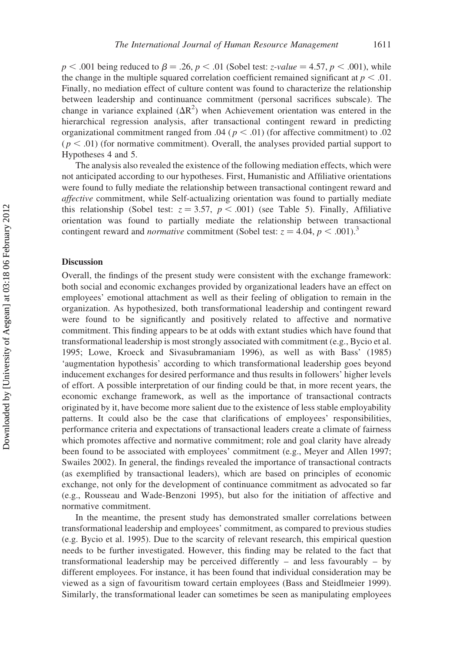$p < .001$  being reduced to  $\beta = .26$ ,  $p < .01$  (Sobel test: *z*-value = 4.57, p < .001), while the change in the multiple squared correlation coefficient remained significant at  $p < .01$ . Finally, no mediation effect of culture content was found to characterize the relationship between leadership and continuance commitment (personal sacrifices subscale). The change in variance explained  $(\Delta R^2)$  when Achievement orientation was entered in the hierarchical regression analysis, after transactional contingent reward in predicting organizational commitment ranged from .04 ( $p < .01$ ) (for affective commitment) to .02  $(p < .01)$  (for normative commitment). Overall, the analyses provided partial support to Hypotheses 4 and 5.

The analysis also revealed the existence of the following mediation effects, which were not anticipated according to our hypotheses. First, Humanistic and Affiliative orientations were found to fully mediate the relationship between transactional contingent reward and affective commitment, while Self-actualizing orientation was found to partially mediate this relationship (Sobel test:  $z = 3.57$ ,  $p < .001$ ) (see Table 5). Finally, Affiliative orientation was found to partially mediate the relationship between transactional contingent reward and *normative* commitment (Sobel test:  $z = 4.04$ ,  $p < .001$ ).<sup>3</sup>

#### **Discussion**

Overall, the findings of the present study were consistent with the exchange framework: both social and economic exchanges provided by organizational leaders have an effect on employees' emotional attachment as well as their feeling of obligation to remain in the organization. As hypothesized, both transformational leadership and contingent reward were found to be significantly and positively related to affective and normative commitment. This finding appears to be at odds with extant studies which have found that transformational leadership is most strongly associated with commitment (e.g., Bycio et al. 1995; Lowe, Kroeck and Sivasubramaniam 1996), as well as with Bass' (1985) 'augmentation hypothesis' according to which transformational leadership goes beyond inducement exchanges for desired performance and thus results in followers' higher levels of effort. A possible interpretation of our finding could be that, in more recent years, the economic exchange framework, as well as the importance of transactional contracts originated by it, have become more salient due to the existence of less stable employability patterns. It could also be the case that clarifications of employees' responsibilities, performance criteria and expectations of transactional leaders create a climate of fairness which promotes affective and normative commitment; role and goal clarity have already been found to be associated with employees' commitment (e.g., Meyer and Allen 1997; Swailes 2002). In general, the findings revealed the importance of transactional contracts (as exemplified by transactional leaders), which are based on principles of economic exchange, not only for the development of continuance commitment as advocated so far (e.g., Rousseau and Wade-Benzoni 1995), but also for the initiation of affective and normative commitment.

In the meantime, the present study has demonstrated smaller correlations between transformational leadership and employees' commitment, as compared to previous studies (e.g. Bycio et al. 1995). Due to the scarcity of relevant research, this empirical question needs to be further investigated. However, this finding may be related to the fact that transformational leadership may be perceived differently – and less favourably – by different employees. For instance, it has been found that individual consideration may be viewed as a sign of favouritism toward certain employees (Bass and Steidlmeier 1999). Similarly, the transformational leader can sometimes be seen as manipulating employees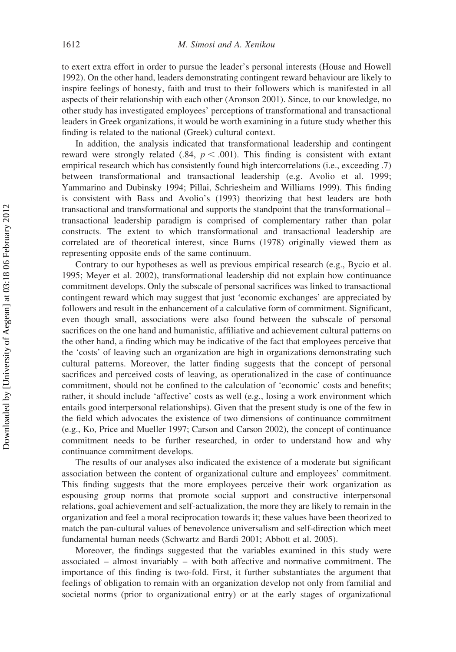to exert extra effort in order to pursue the leader's personal interests (House and Howell 1992). On the other hand, leaders demonstrating contingent reward behaviour are likely to inspire feelings of honesty, faith and trust to their followers which is manifested in all aspects of their relationship with each other (Aronson 2001). Since, to our knowledge, no other study has investigated employees' perceptions of transformational and transactional leaders in Greek organizations, it would be worth examining in a future study whether this finding is related to the national (Greek) cultural context.

In addition, the analysis indicated that transformational leadership and contingent reward were strongly related (.84,  $p < .001$ ). This finding is consistent with extant empirical research which has consistently found high intercorrelations (i.e., exceeding .7) between transformational and transactional leadership (e.g. Avolio et al. 1999; Yammarino and Dubinsky 1994; Pillai, Schriesheim and Williams 1999). This finding is consistent with Bass and Avolio's (1993) theorizing that best leaders are both transactional and transformational and supports the standpoint that the transformational– transactional leadership paradigm is comprised of complementary rather than polar constructs. The extent to which transformational and transactional leadership are correlated are of theoretical interest, since Burns (1978) originally viewed them as representing opposite ends of the same continuum.

Contrary to our hypotheses as well as previous empirical research (e.g., Bycio et al. 1995; Meyer et al. 2002), transformational leadership did not explain how continuance commitment develops. Only the subscale of personal sacrifices was linked to transactional contingent reward which may suggest that just 'economic exchanges' are appreciated by followers and result in the enhancement of a calculative form of commitment. Significant, even though small, associations were also found between the subscale of personal sacrifices on the one hand and humanistic, affiliative and achievement cultural patterns on the other hand, a finding which may be indicative of the fact that employees perceive that the 'costs' of leaving such an organization are high in organizations demonstrating such cultural patterns. Moreover, the latter finding suggests that the concept of personal sacrifices and perceived costs of leaving, as operationalized in the case of continuance commitment, should not be confined to the calculation of 'economic' costs and benefits; rather, it should include 'affective' costs as well (e.g., losing a work environment which entails good interpersonal relationships). Given that the present study is one of the few in the field which advocates the existence of two dimensions of continuance commitment (e.g., Ko, Price and Mueller 1997; Carson and Carson 2002), the concept of continuance commitment needs to be further researched, in order to understand how and why continuance commitment develops.

The results of our analyses also indicated the existence of a moderate but significant association between the content of organizational culture and employees' commitment. This finding suggests that the more employees perceive their work organization as espousing group norms that promote social support and constructive interpersonal relations, goal achievement and self-actualization, the more they are likely to remain in the organization and feel a moral reciprocation towards it; these values have been theorized to match the pan-cultural values of benevolence universalism and self-direction which meet fundamental human needs (Schwartz and Bardi 2001; Abbott et al. 2005).

Moreover, the findings suggested that the variables examined in this study were associated – almost invariably – with both affective and normative commitment. The importance of this finding is two-fold. First, it further substantiates the argument that feelings of obligation to remain with an organization develop not only from familial and societal norms (prior to organizational entry) or at the early stages of organizational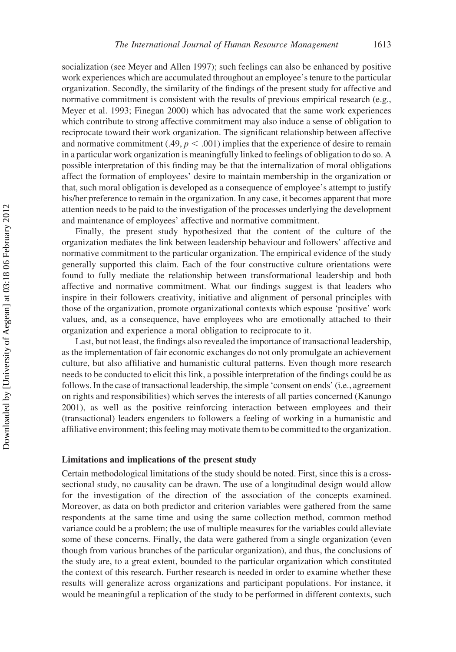socialization (see Meyer and Allen 1997); such feelings can also be enhanced by positive work experiences which are accumulated throughout an employee's tenure to the particular organization. Secondly, the similarity of the findings of the present study for affective and normative commitment is consistent with the results of previous empirical research (e.g., Meyer et al. 1993; Finegan 2000) which has advocated that the same work experiences which contribute to strong affective commitment may also induce a sense of obligation to reciprocate toward their work organization. The significant relationship between affective and normative commitment (.49,  $p < .001$ ) implies that the experience of desire to remain in a particular work organization is meaningfully linked to feelings of obligation to do so. A possible interpretation of this finding may be that the internalization of moral obligations affect the formation of employees' desire to maintain membership in the organization or that, such moral obligation is developed as a consequence of employee's attempt to justify his/her preference to remain in the organization. In any case, it becomes apparent that more attention needs to be paid to the investigation of the processes underlying the development and maintenance of employees' affective and normative commitment.

Finally, the present study hypothesized that the content of the culture of the organization mediates the link between leadership behaviour and followers' affective and normative commitment to the particular organization. The empirical evidence of the study generally supported this claim. Each of the four constructive culture orientations were found to fully mediate the relationship between transformational leadership and both affective and normative commitment. What our findings suggest is that leaders who inspire in their followers creativity, initiative and alignment of personal principles with those of the organization, promote organizational contexts which espouse 'positive' work values, and, as a consequence, have employees who are emotionally attached to their organization and experience a moral obligation to reciprocate to it.

Last, but not least, the findings also revealed the importance of transactional leadership, as the implementation of fair economic exchanges do not only promulgate an achievement culture, but also affiliative and humanistic cultural patterns. Even though more research needs to be conducted to elicit this link, a possible interpretation of the findings could be as follows. In the case of transactional leadership, the simple 'consent on ends' (i.e., agreement on rights and responsibilities) which serves the interests of all parties concerned (Kanungo 2001), as well as the positive reinforcing interaction between employees and their (transactional) leaders engenders to followers a feeling of working in a humanistic and affiliative environment; this feeling may motivate them to be committed to the organization.

#### Limitations and implications of the present study

Certain methodological limitations of the study should be noted. First, since this is a crosssectional study, no causality can be drawn. The use of a longitudinal design would allow for the investigation of the direction of the association of the concepts examined. Moreover, as data on both predictor and criterion variables were gathered from the same respondents at the same time and using the same collection method, common method variance could be a problem; the use of multiple measures for the variables could alleviate some of these concerns. Finally, the data were gathered from a single organization (even though from various branches of the particular organization), and thus, the conclusions of the study are, to a great extent, bounded to the particular organization which constituted the context of this research. Further research is needed in order to examine whether these results will generalize across organizations and participant populations. For instance, it would be meaningful a replication of the study to be performed in different contexts, such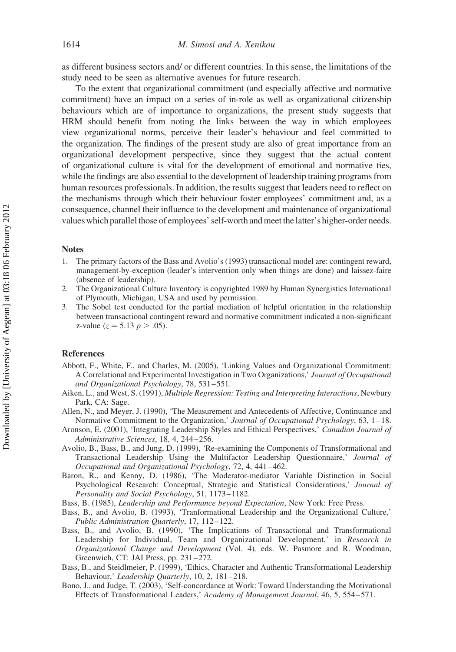as different business sectors and/ or different countries. In this sense, the limitations of the study need to be seen as alternative avenues for future research.

To the extent that organizational commitment (and especially affective and normative commitment) have an impact on a series of in-role as well as organizational citizenship behaviours which are of importance to organizations, the present study suggests that HRM should benefit from noting the links between the way in which employees view organizational norms, perceive their leader's behaviour and feel committed to the organization. The findings of the present study are also of great importance from an organizational development perspective, since they suggest that the actual content of organizational culture is vital for the development of emotional and normative ties, while the findings are also essential to the development of leadership training programs from human resources professionals. In addition, the results suggest that leaders need to reflect on the mechanisms through which their behaviour foster employees' commitment and, as a consequence, channel their influence to the development and maintenance of organizational values which parallel those of employees' self-worth and meet the latter's higher-order needs.

#### Notes

- 1. The primary factors of the Bass and Avolio's (1993) transactional model are: contingent reward, management-by-exception (leader's intervention only when things are done) and laissez-faire (absence of leadership).
- 2. The Organizational Culture Inventory is copyrighted 1989 by Human Synergistics International of Plymouth, Michigan, USA and used by permission.
- 3. The Sobel test conducted for the partial mediation of helpful orientation in the relationship between transactional contingent reward and normative commitment indicated a non-significant z-value ( $z = 5.13$   $p > .05$ ).

#### References

- Abbott, F., White, F., and Charles, M. (2005), 'Linking Values and Organizational Commitment: A Correlational and Experimental Investigation in Two Organizations,' Journal of Occupational and Organizational Psychology, 78, 531–551.
- Aiken, L., and West, S. (1991), Multiple Regression: Testing and Interpreting Interactions, Newbury Park, CA: Sage.
- Allen, N., and Meyer, J. (1990), 'The Measurement and Antecedents of Affective, Continuance and Normative Commitment to the Organization,' Journal of Occupational Psychology, 63, 1–18.
- Aronson, E. (2001), 'Integrating Leadership Styles and Ethical Perspectives,' Canadian Journal of Administrative Sciences, 18, 4, 244–256.
- Avolio, B., Bass, B., and Jung, D. (1999), 'Re-examining the Components of Transformational and Transactional Leadership Using the Multifactor Leadership Questionnaire,' Journal of Occupational and Organizational Psychology, 72, 4, 441–462.
- Baron, R., and Kenny, D. (1986), 'The Moderator-mediator Variable Distinction in Social Psychological Research: Conceptual, Strategic and Statistical Considerations,' Journal of Personality and Social Psychology, 51, 1173–1182.
- Bass, B. (1985), Leadership and Performance beyond Expectation, New York: Free Press.
- Bass, B., and Avolio, B. (1993), 'Tranformational Leadership and the Organizational Culture,' Public Administration Quarterly, 17, 112–122.
- Bass, B., and Avolio, B. (1990), 'The Implications of Transactional and Transformational Leadership for Individual, Team and Organizational Development,' in Research in Organizational Change and Development (Vol. 4), eds. W. Pasmore and R. Woodman, Greenwich, CT: JAI Press, pp. 231–272.
- Bass, B., and Steidlmeier, P. (1999), 'Ethics, Character and Authentic Transformational Leadership Behaviour,' Leadership Quarterly, 10, 2, 181-218.
- Bono, J., and Judge, T. (2003), 'Self-concordance at Work: Toward Understanding the Motivational Effects of Transformational Leaders,' Academy of Management Journal, 46, 5, 554–571.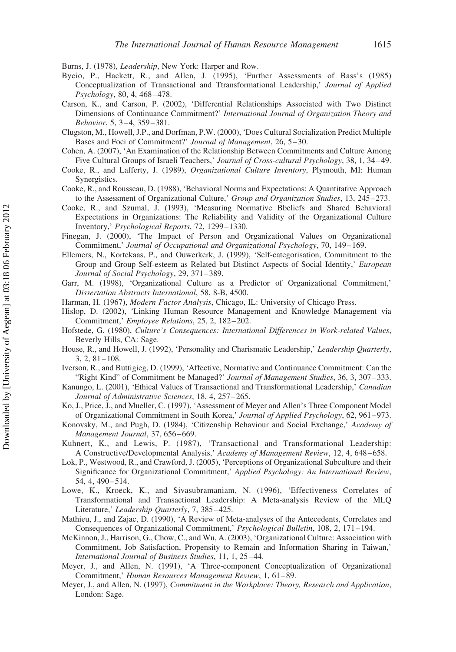Burns, J. (1978), Leadership, New York: Harper and Row.

- Bycio, P., Hackett, R., and Allen, J. (1995), 'Further Assessments of Bass's (1985) Conceptualization of Transactional and Ttransformational Leadership,' Journal of Applied Psychology, 80, 4, 468–478.
- Carson, K., and Carson, P. (2002), 'Differential Relationships Associated with Two Distinct Dimensions of Continuance Commitment?' International Journal of Organization Theory and Behavior, 5, 3–4, 359–381.
- Clugston, M., Howell, J.P., and Dorfman, P.W. (2000), 'Does Cultural Socialization Predict Multiple Bases and Foci of Commitment?' Journal of Management, 26, 5–30.
- Cohen, A. (2007), 'An Examination of the Relationship Between Commitments and Culture Among Five Cultural Groups of Israeli Teachers,' Journal of Cross-cultural Psychology, 38, 1, 34–49.
- Cooke, R., and Lafferty, J. (1989), Organizational Culture Inventory, Plymouth, MI: Human Synergistics.
- Cooke, R., and Rousseau, D. (1988), 'Behavioral Norms and Expectations: A Quantitative Approach to the Assessment of Organizational Culture,' Group and Organization Studies, 13, 245–273.
- Cooke, R., and Szumal, J. (1993), 'Measuring Normative Bbeliefs and Shared Behavioral Expectations in Organizations: The Reliability and Validity of the Organizational Culture Inventory,' Psychological Reports, 72, 1299–1330.
- Finegan, J. (2000), 'The Impact of Person and Organizational Values on Organizational Commitment,' Journal of Occupational and Organizational Psychology, 70, 149–169.
- Ellemers, N., Kortekaas, P., and Ouwerkerk, J. (1999), 'Self-categorisation, Commitment to the Group and Group Self-esteem as Related but Distinct Aspects of Social Identity,' European Journal of Social Psychology, 29, 371–389.
- Garr, M. (1998), 'Organizational Culture as a Predictor of Organizational Commitment,' Dissertation Abstracts International, 58, 8-B, 4500.
- Harman, H. (1967), Modern Factor Analysis, Chicago, IL: University of Chicago Press.
- Hislop, D. (2002), 'Linking Human Resource Management and Knowledge Management via Commitment,' Employee Relations, 25, 2, 182–202.
- Hofstede, G. (1980), Culture's Consequences: International Differences in Work-related Values, Beverly Hills, CA: Sage.
- House, R., and Howell, J. (1992), 'Personality and Charismatic Leadership,' Leadership Quarterly, 3, 2, 81–108.
- Iverson, R., and Buttigieg, D. (1999), 'Affective, Normative and Continuance Commitment: Can the "Right Kind" of Commitment be Managed?' Journal of Management Studies, 36, 3, 307–333.
- Kanungo, L. (2001), 'Ethical Values of Transactional and Transformational Leadership,' Canadian Journal of Administrative Sciences, 18, 4, 257–265.
- Ko, J., Price, J., and Mueller, C. (1997), 'Assessment of Meyer and Allen's Three Component Model of Organizational Commitment in South Korea,' Journal of Applied Psychology, 62, 961–973.
- Konovsky, M., and Pugh, D. (1984), 'Citizenship Behaviour and Social Exchange,' Academy of Management Journal, 37, 656–669.
- Kuhnert, K., and Lewis, P. (1987), 'Transactional and Transformational Leadership: A Constructive/Developmental Analysis,' Academy of Management Review, 12, 4, 648–658.
- Lok, P., Westwood, R., and Crawford, J. (2005), 'Perceptions of Organizational Subculture and their Significance for Organizational Commitment,' Applied Psychology: An International Review, 54, 4, 490–514.
- Lowe, K., Kroeck, K., and Sivasubramaniam, N. (1996), 'Effectiveness Correlates of Transformational and Transactional Leadership: A Meta-analysis Review of the MLQ Literature,' Leadership Quarterly, 7, 385–425.
- Mathieu, J., and Zajac, D. (1990), 'A Review of Meta-analyses of the Antecedents, Correlates and Consequences of Organizational Commitment,' Psychological Bulletin, 108, 2, 171–194.
- McKinnon, J., Harrison, G., Chow, C., and Wu, A. (2003), 'Organizational Culture: Association with Commitment, Job Satisfaction, Propensity to Remain and Information Sharing in Taiwan,' International Journal of Business Studies, 11, 1, 25–44.
- Meyer, J., and Allen, N. (1991), 'A Three-component Conceptualization of Organizational Commitment,' Human Resources Management Review, 1, 61–89.
- Meyer, J., and Allen, N. (1997), Commitment in the Workplace: Theory, Research and Application, London: Sage.